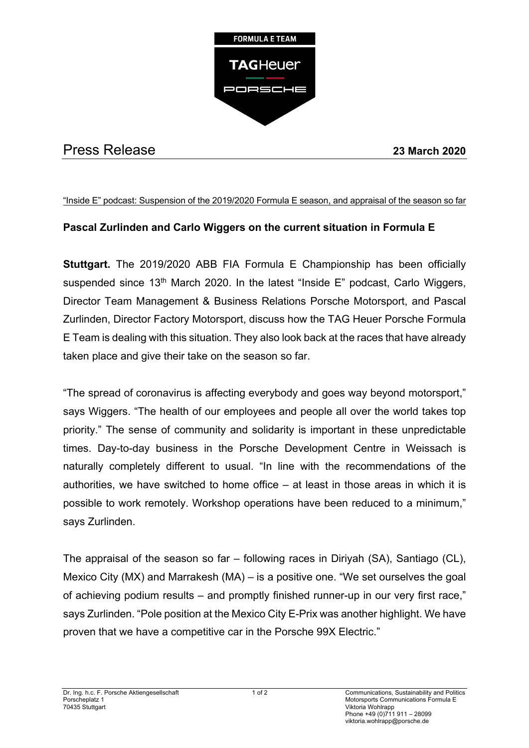

## Press Release **23 March 2020**

## "Inside E" podcast: Suspension of the 2019/2020 Formula E season, and appraisal of the season so far

## **Pascal Zurlinden and Carlo Wiggers on the current situation in Formula E**

**Stuttgart.** The 2019/2020 ABB FIA Formula E Championship has been officially suspended since 13<sup>th</sup> March 2020. In the latest "Inside E" podcast, Carlo Wiggers, Director Team Management & Business Relations Porsche Motorsport, and Pascal Zurlinden, Director Factory Motorsport, discuss how the TAG Heuer Porsche Formula E Team is dealing with this situation. They also look back at the races that have already taken place and give their take on the season so far.

"The spread of coronavirus is affecting everybody and goes way beyond motorsport," says Wiggers. "The health of our employees and people all over the world takes top priority." The sense of community and solidarity is important in these unpredictable times. Day-to-day business in the Porsche Development Centre in Weissach is naturally completely different to usual. "In line with the recommendations of the authorities, we have switched to home office – at least in those areas in which it is possible to work remotely. Workshop operations have been reduced to a minimum," says Zurlinden.

The appraisal of the season so far – following races in Diriyah (SA), Santiago (CL), Mexico City (MX) and Marrakesh (MA) – is a positive one. "We set ourselves the goal of achieving podium results – and promptly finished runner-up in our very first race," says Zurlinden. "Pole position at the Mexico City E-Prix was another highlight. We have proven that we have a competitive car in the Porsche 99X Electric."